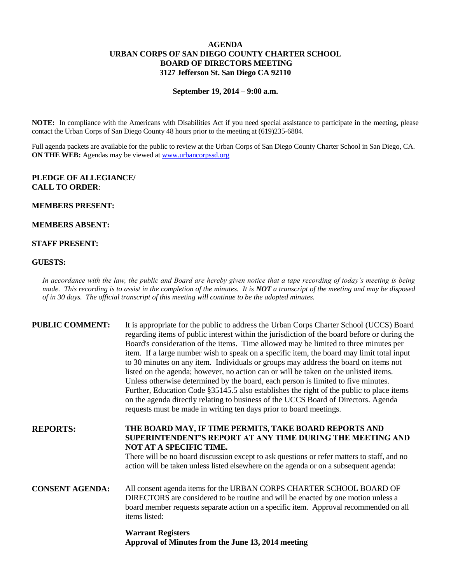# **AGENDA URBAN CORPS OF SAN DIEGO COUNTY CHARTER SCHOOL BOARD OF DIRECTORS MEETING 3127 Jefferson St. San Diego CA 92110**

#### **September 19, 2014 – 9:00 a.m.**

**NOTE:** In compliance with the Americans with Disabilities Act if you need special assistance to participate in the meeting, please contact the Urban Corps of San Diego County 48 hours prior to the meeting at (619)235-6884.

Full agenda packets are available for the public to review at the Urban Corps of San Diego County Charter School in San Diego, CA. **ON THE WEB:** Agendas may be viewed at [www.urbancorpssd.org](http://www.urbancorpssd.org/)

### **PLEDGE OF ALLEGIANCE/ CALL TO ORDER**:

#### **MEMBERS PRESENT:**

# **MEMBERS ABSENT:**

## **STAFF PRESENT:**

#### **GUESTS:**

*In accordance with the law, the public and Board are hereby given notice that a tape recording of today's meeting is being made. This recording is to assist in the completion of the minutes. It is NOT a transcript of the meeting and may be disposed of in 30 days. The official transcript of this meeting will continue to be the adopted minutes.*

| <b>PUBLIC COMMENT:</b> | It is appropriate for the public to address the Urban Corps Charter School (UCCS) Board<br>regarding items of public interest within the jurisdiction of the board before or during the<br>Board's consideration of the items. Time allowed may be limited to three minutes per<br>item. If a large number wish to speak on a specific item, the board may limit total input<br>to 30 minutes on any item. Individuals or groups may address the board on items not<br>listed on the agenda; however, no action can or will be taken on the unlisted items.<br>Unless otherwise determined by the board, each person is limited to five minutes.<br>Further, Education Code §35145.5 also establishes the right of the public to place items<br>on the agenda directly relating to business of the UCCS Board of Directors. Agenda<br>requests must be made in writing ten days prior to board meetings. |
|------------------------|----------------------------------------------------------------------------------------------------------------------------------------------------------------------------------------------------------------------------------------------------------------------------------------------------------------------------------------------------------------------------------------------------------------------------------------------------------------------------------------------------------------------------------------------------------------------------------------------------------------------------------------------------------------------------------------------------------------------------------------------------------------------------------------------------------------------------------------------------------------------------------------------------------|
| <b>REPORTS:</b>        | THE BOARD MAY, IF TIME PERMITS, TAKE BOARD REPORTS AND<br><b>SUPERINTENDENT'S REPORT AT ANY TIME DURING THE MEETING AND</b><br>NOT AT A SPECIFIC TIME.<br>There will be no board discussion except to ask questions or refer matters to staff, and no<br>action will be taken unless listed elsewhere on the agenda or on a subsequent agenda:                                                                                                                                                                                                                                                                                                                                                                                                                                                                                                                                                           |
| <b>CONSENT AGENDA:</b> | All consent agenda items for the URBAN CORPS CHARTER SCHOOL BOARD OF<br>DIRECTORS are considered to be routine and will be enacted by one motion unless a<br>board member requests separate action on a specific item. Approval recommended on all<br>items listed:                                                                                                                                                                                                                                                                                                                                                                                                                                                                                                                                                                                                                                      |
|                        | $\mathbf{W}$ and $\mathbf{D}$ and $\mathbf{A}$                                                                                                                                                                                                                                                                                                                                                                                                                                                                                                                                                                                                                                                                                                                                                                                                                                                           |

### **Warrant Registers Approval of Minutes from the June 13, 2014 meeting**